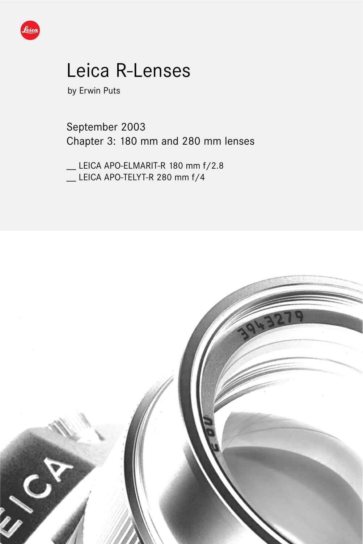

# Leica R-Lenses

by Erwin Puts

September 2003 Chapter 3: 180 mm and 280 mm lenses

\_\_ LEICA APO-ELMARIT-R 180 mm f/2.8 \_\_ LEICA APO-TELYT-R 280 mm f/4

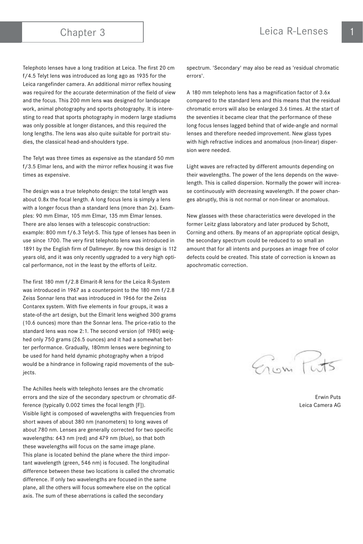Telephoto lenses have a long tradition at Leica. The first 20 cm f/4.5 Telyt lens was introduced as long ago as 1935 for the Leica rangefinder camera. An additional mirror reflex housing was required for the accurate determination of the field of view and the focus. This 200 mm lens was designed for landscape work, animal photography and sports photography. It is interesting to read that sports photography in modern large stadiums was only possible at longer distances, and this required the long lengths. The lens was also quite suitable for portrait studies, the classical head-and-shoulders type.

The Telyt was three times as expensive as the standard 50 mm f/3.5 Elmar lens, and with the mirror reflex housing it was five times as expensive.

The design was a true telephoto design: the total length was about 0.8x the focal length. A long focus lens is simply a lens with a longer focus than a standard lens (more than 2x). Examples: 90 mm Elmar, 105 mm Elmar, 135 mm Elmar lenses. There are also lenses with a telescopic construction: example: 800 mm f/6.3 Telyt-S. This type of lenses has been in use since 1700. The very first telephoto lens was introduced in 1891 by the English firm of Dallmeyer. By now this design is 112 years old, and it was only recently upgraded to a very high optical performance, not in the least by the efforts of Leitz.

The first 180 mm f/2.8 Elmarit-R lens for the Leica R-System was introduced in 1967 as a counterpoint to the 180 mm f/2.8 Zeiss Sonnar lens that was introduced in 1966 for the Zeiss Contarex system. With five elements in four groups, it was a state-of-the art design, but the Elmarit lens weighed 300 grams (10.6 ounces) more than the Sonnar lens. The price-ratio to the standard lens was now 2:1. The second version (of 1980) weighed only 750 grams (26.5 ounces) and it had a somewhat better performance. Gradually, 180mm lenses were beginning to be used for hand held dynamic photography when a tripod would be a hindrance in following rapid movements of the subiects.

The Achilles heels with telephoto lenses are the chromatic errors and the size of the secondary spectrum or chromatic difference (typically 0.002 times the focal length [F]). Visible light is composed of wavelengths with frequencies from short waves of about 380 nm (nanometers) to long waves of about 780 nm. Lenses are generally corrected for two specific wavelengths: 643 nm (red) and 479 nm (blue), so that both these wavelengths will focus on the same image plane. This plane is located behind the plane where the third important wavelength (green, 546 nm) is focused. The longitudinal difference between these two locations is called the chromatic difference. If only two wavelengths are focused in the same plane, all the others will focus somewhere else on the optical axis. The sum of these aberrations is called the secondary

spectrum. 'Secondary' may also be read as 'residual chromatic errors'.

A 180 mm telephoto lens has a magnification factor of 3.6x compared to the standard lens and this means that the residual chromatic errors will also be enlarged 3.6 times. At the start of the seventies it became clear that the performance of these long focus lenses lagged behind that of wide-angle and normal lenses and therefore needed improvement. New glass types with high refractive indices and anomalous (non-linear) dispersion were needed.

Light waves are refracted by different amounts depending on their wavelengths. The power of the lens depends on the wavelength. This is called dispersion. Normally the power will increase continuously with decreasing wavelength. If the power changes abruptly, this is not normal or non-linear or anomalous.

New glasses with these characteristics were developed in the former Leitz glass laboratory and later produced by Schott, Corning and others. By means of an appropriate optical design, the secondary spectrum could be reduced to so small an amount that for all intents and purposes an image free of color defects could be created. This state of correction is known as apochromatic correction.

Eriam Tw

Erwin Puts Leica Camera AG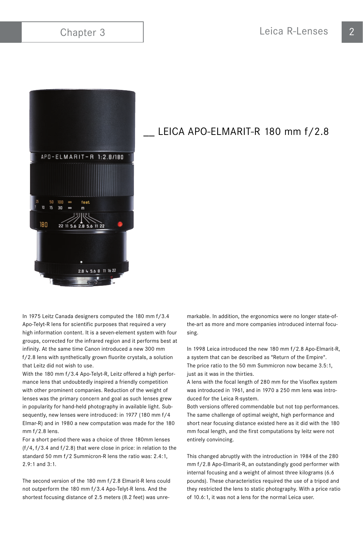

# LEICA APO-ELMARIT-R 180 mm f/2.8

In 1975 Leitz Canada designers computed the 180 mm f/3.4 Apo-Telyt-R lens for scientific purposes that required a very high information content. It is a seven-element system with four groups, corrected for the infrared region and it performs best at infinity. At the same time Canon introduced a new 300 mm f/2.8 lens with synthetically grown fluorite crystals, a solution that Leitz did not wish to use.

With the 180 mm f/3.4 Apo-Telyt-R, Leitz offered a high performance lens that undoubtedly inspired a friendly competition with other prominent companies. Reduction of the weight of lenses was the primary concern and goal as such lenses grew in popularity for hand-held photography in available light. Subsequently, new lenses were introduced: in 1977 (180 mm f/4 Elmar-R) and in 1980 a new computation was made for the 180 mm f/2.8 lens.

For a short period there was a choice of three 180mm lenses (f/4, f/3.4 and f/2.8) that were close in price: in relation to the standard 50 mm f/2 Summicron-R lens the ratio was: 2.4:1, 2.9:1 and 3:1.

The second version of the 180 mm f/2.8 Elmarit-R lens could not outperform the 180 mm f/3.4 Apo-Telyt-R lens. And the shortest focusing distance of 2.5 meters (8.2 feet) was unremarkable. In addition, the ergonomics were no longer state-ofthe-art as more and more companies introduced internal focusing.

In 1998 Leica introduced the new 180 mm f/2.8 Apo-Elmarit-R, a system that can be described as "Return of the Empire". The price ratio to the 50 mm Summicron now became 3.5:1, just as it was in the thirties.

A lens with the focal length of 280 mm for the Visoflex system was introduced in 1961, and in 1970 a 250 mm lens was introduced for the Leica R-system.

Both versions offered commendable but not top performances. The same challenge of optimal weight, high performance and short near focusing distance existed here as it did with the 180 mm focal length, and the first computations by leitz were not entirely convincing.

This changed abruptly with the introduction in 1984 of the 280 mm f/2.8 Apo-Elmarit-R, an outstandingly good performer with internal focusing and a weight of almost three kilograms (6.6 pounds). These characteristics required the use of a tripod and they restricted the lens to static photography. With a price ratio of 10.6:1, it was not a lens for the normal Leica user.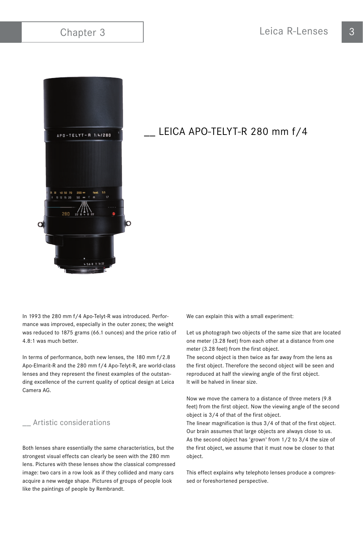

# LEICA APO-TELYT-R 280 mm f/4

In 1993 the 280 mm f/4 Apo-Telyt-R was introduced. Performance was improved, especially in the outer zones; the weight was reduced to 1875 grams (66.1 ounces) and the price ratio of 4.8:1 was much better.

In terms of performance, both new lenses, the 180 mm f/2.8 Apo-Elmarit-R and the 280 mm f/4 Apo-Telyt-R, are world-class lenses and they represent the finest examples of the outstanding excellence of the current quality of optical design at Leica Camera AG.

# \_\_ Artistic considerations

Both lenses share essentially the same characteristics, but the strongest visual effects can clearly be seen with the 280 mm lens. Pictures with these lenses show the classical compressed image: two cars in a row look as if they collided and many cars acquire a new wedge shape. Pictures of groups of people look like the paintings of people by Rembrandt.

We can explain this with a small experiment:

Let us photograph two objects of the same size that are located one meter (3.28 feet) from each other at a distance from one meter (3.28 feet) from the first object.

The second object is then twice as far away from the lens as the first object. Therefore the second object will be seen and reproduced at half the viewing angle of the first object. It will be halved in linear size.

Now we move the camera to a distance of three meters (9.8 feet) from the first object. Now the viewing angle of the second object is 3/4 of that of the first object.

The linear magnification is thus 3/4 of that of the first object. Our brain assumes that large objects are always close to us. As the second object has 'grown' from 1/2 to 3/4 the size of the first object, we assume that it must now be closer to that object.

This effect explains why telephoto lenses produce a compressed or foreshortened perspective.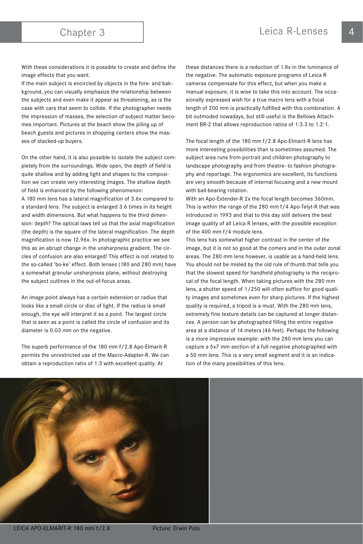With these considerations it is possible to create and define the image effects that you want.

If the main subject is encircled by objects in the fore- and bakkground, you can visually emphasize the relationship between the subjects and even make it appear as threatening, as is the case with cars that seem to collide. If the photographer needs the impression of masses, the selection of subject matter becomes important. Pictures at the beach show the piling up of beach guests and pictures in shopping centers show the masses of stacked-up buyers.

On the other hand, it is also possible to isolate the subject completely from the surroundings. Wide open, the depth of field is quite shallow and by adding light and shapes to the composition we can create very interesting images. The shallow depth of field is enhanced by the following phenomenon: A 180 mm lens has a lateral magnification of 3.6x compared to a standard lens. The subject is enlarged 3.6 times in its height and width dimensions. But what happens to the third dimension: depth? The optical laws tell us that the axial magnification (the depth) is the square of the lateral magnification. The depth magnification is now 12.96x. In photographic practice we see this as an abrupt change in the unsharpness gradient. The circles of confusion are also enlarged! This effect is not related to the so-called 'bo-ke' effect. Both lenses (180 and 280 mm) have a somewhat granular unsharpness plane, without destroying the subject outlines in the out-of-focus areas.

An image point always has a certain extension or radius that looks like a small circle or disc of light. If the radius is small enough, the eye will interpret it as a point. The largest circle that is seen as a point is called the circle of confusion and its diameter is 0.03 mm on the negative.

The superb performance of the 180 mm f/2.8 Apo-Elmarit-R permits the unrestricted use of the Macro-Adapter-R. We can obtain a reproduction ratio of 1:3 with excellent quality. At

these distances there is a reduction of 1.8x in the luminance of the negative. The automatic exposure programs of Leica R cameras compensate for this effect, but when you make a manual exposure, it is wise to take this into account. The occasionally expressed wish for a true macro lens with a focal length of 200 mm is practically fulfilled with this combination. A bit outmoded nowadays, but still useful is the Bellows Attachment BR-2 that allows reproduction ratios of 1:3.3 to 1.2:1.

The focal length of the 180 mm f/2.8 Apo-Elmarit-R lens has more interesting possibilities than is sometimes assumed. The subject area runs from portrait and children photography to landscape photography and from theatre- to fashion photography and reportage. The ergonomics are excellent, its functions are very smooth because of internal focusing and a new mount with ball-bearing rotation.

With an Apo-Extender-R 2x the focal length becomes 360mm. This is within the range of the 280 mm f/4 Apo-Telyt-R that was introduced in 1993 and that to this day still delivers the best image quality of all Leica R lenses, with the possible exception of the 400 mm f/4 module lens.

This lens has somewhat higher contrast in the center of the image, but it is not so good at the comers and in the outer zonal areas. The 280 mm lens however, is usable as a hand-held lens. You should not be misled by the old rule of thumb that tells you that the slowest speed for handheld photography is the reciprocal of the focal length. When taking pictures with the 280 mm lens, a shutter speed of 1/250 will often suffice for good quality images and sometimes even for sharp pictures. If the highest quality is required, a tripod is a must. With the 280 mm lens, extremely fine texture details can be captured at longer distances. A person can be photographed filling the entire negative area at a distance of 14 meters (46 feet). Perhaps the following is a more impressive example: with the 280 mm lens you can capture a 5x7 mm section of a full negative photographed with a 50 mm lens. This is a very small segment and it is an indication of the many possibilities of this lens.

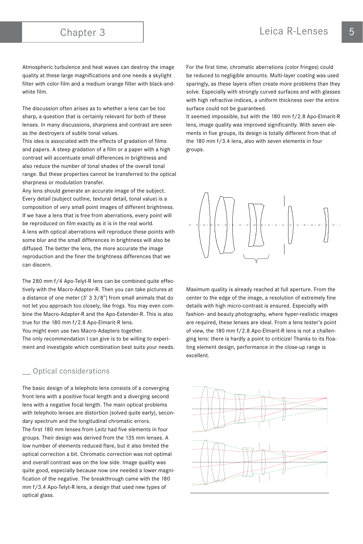Atmospheric turbulence and heat waves can destroy the image quality at these large magnifications and one needs a skylight filter with color film and a medium orange filter with black-andwhite film.

The discussion often arises as to whether a lens can be too sharp, a question that is certainly relevant for both of these lenses. In many discussions, sharpness and contrast are seen as the destroyers of subtle tonal values.

This idea is associated with the effects of gradation of films and papers. A steep gradation of a film or a paper with a high contrast will accentuate small differences in brightness and also reduce the number of tonal shades of the overall tonal range. But these properties cannot be transferred to the optical sharpness or modulation transfer.

Any lens should generate an accurate image of the subject. Every detail (subject outline, textural detail, tonal value) is a composition of very small point images of different brightness. If we have a lens that is free from aberrations, every point will be reproduced on film exactly as it is in the real world. A lens with optical aberrations will reproduce these points with some blur and the small differences in brightness will also be diffused. The better the lens, the more accurate the image reproduction and the finer the brightness differences that we can discern.

The 280 mm f/4 Apo-Telyt-R lens can be combined quite effectively with the Macro-Adapter-R. Then you can take pictures at a distance of one meter (3' 3 3/8") from small animals that do not let you approach too closely, like frogs. You may even combine the Macro-Adapter-R and the Apo-Extender-R. This is also true for the 180 mm f/2.8 Apo-Elmarit-R lens.

You might even use two Macro-Adapters together.

The only recommendation I can give is to be willing to experiment and investigate which combination best suits your needs.

### Optical considerations

The basic design of a telephoto lens consists of a converging front lens with a positive focal length and a diverging second lens with a negative focal length. The main optical problems with telephoto lenses are distortion (solved quite early), secondary spectrum and the longitudinal chromatic errors. The first 180 mm lenses from Leitz had five elements in four groups. Their design was derived from the 135 mm lenses. A low number of elements reduced flare, but it also limited the optical correction a bit. Chromatic correction was not optimal and overall contrast was on the low side. Image quality was quite good, especially because now one needed a lower magnification of the negative. The breakthrough came with the 180 mm f/3.4 Apo-Telyt-R lens, a design that used new types of optical glass.

For the first time, chromatic aberrations (color fringes) could be reduced to negligible amounts. Multi-layer coating was used sparingly, as these layers often create more problems than they solve. Especially with strongly curved surfaces and with glasses with high refractive indices, a uniform thickness over the entire surface could not be guaranteed.

It seemed impossible, but with the 180 mm f/2.8 Apo-Elmarit-R lens, image quality was improved significantly. With seven elements in five groups, its design is totally different from that of the 180 mm f/3.4 lens, also with seven elements in four groups.



Maximum quality is already reached at full aperture. From the center to the edge of the image, a resolution of extremely fine details with high micro-contrast is ensured. Especially with fashion- and beauty photography, where hyper-realistic images are required, these lenses are ideal. From a lens tester's point of view, the 180 mm f/2.8 Apo-Elmarit-R lens is not a challenging lens: there is hardly a point to criticize! Thanks to its floating element design, performance in the close-up range is excellent.

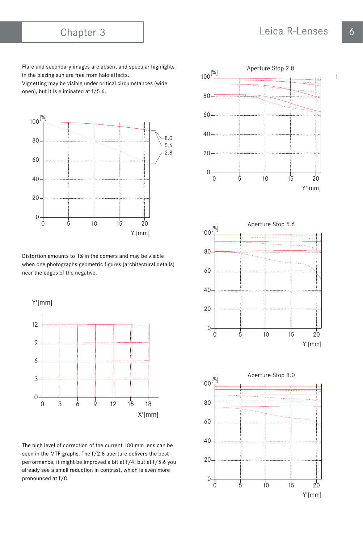Flare and secondary images are absent and specular highlights in the blazing sun are free from halo effects.

Vignetting may be visible under critical circumstances (wide open), but it is eliminated at f/5.6.



Distortion amounts to 1% in the comers and may be visible when one photographs geometric figures (architectural details) near the edges of the negative.



The high level of correction of the current 180 mm lens can be seen in the MTF graphs. The f/2.8 aperture delivers the best performance, it might be improved a bit at f/4, but at f/5.6 you already see a small reduction in contrast, which is even more pronounced at f/8.





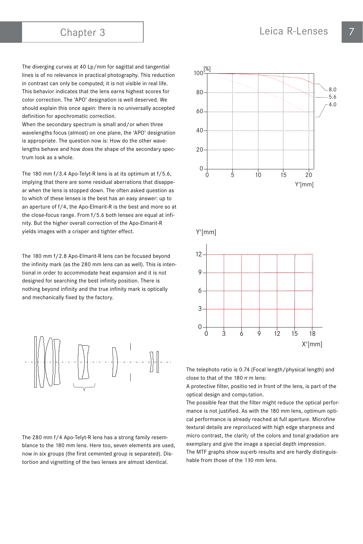The diverging curves at 40 Lp/mm for sagittal and tangential lines is of no relevance in practical photography. This reduction in contrast can only be computed; it is not visible in real life. This behavior indicates that the lens earns highest scores for color correction. The 'APO' designation is well deserved. We should explain this once again: there is no universally accepted definition for apochromatic correction.

When the secondary spectrum is small and/or when three wavelengths focus (almost) on one plane, the 'APO' designation is appropriate. The question now is: How do the other wavelengths behave and how does the shape of the secondary spectrum look as a whole.

The 180 mm f/3.4 Apo-Telyt-R lens is at its optimum at f/5.6, implying that there are some residual aberrations that disappear when the lens is stopped down. The often asked question as to which of these lenses is the best has an easy answer: up to an aperture of f/4, the Apo-Elmarit-R is the best and more so at the close-focus range. From f/5.6 both lenses are equal at infinity. But the higher overall correction of the Apo-Elmarit-R yields images with a crisper and tighter effect.

The 180 mm f/2.8 Apo-Elmarit-R lens can be focused beyond the infinity mark (as the 280 mm lens can as well). This is intentional in order to accommodate heat expansion and it is not designed for searching the best infinity position. There is nothing beyond infinity and the true infinity mark is optically and mechanically fixed by the factory.



The 280 mm f/4 Apo-Telyt-R lens has a strong family resemblance to the 180 mm lens. Here too, seven elements are used, now in six groups (the first cemented group is separated). Distortion and vignetting of the two lenses are almost identical.



A protective filter, positioned in front of the lens, is part of the optical design and computation.

The possible fear that the filter might reduce the optical performance is not justified. As with the 180 mm lens, optimum optical performance is already reached at full aperture. Microfine textural details are reproduced with high edge sharpness and micro contrast, the clarity of the colors and tonal gradation are exemplary and give the image a special depth impression. The MTF graphs show superb results and are hardly distinguishable from those of the 180 mm lens.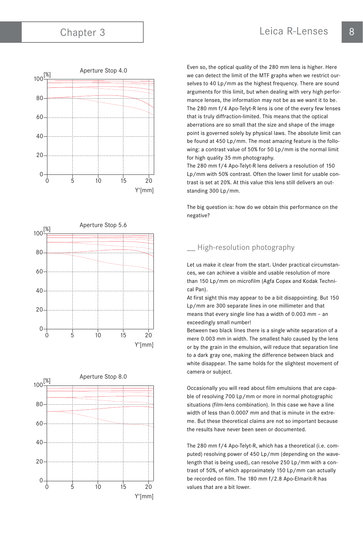





Even so, the optical quality of the 280 mm lens is higher. Here we can detect the limit of the MTF graphs when we restrict ourselves to 40 Lp/mm as the highest frequency. There are sound arguments for this limit, but when dealing with very high performance lenses, the information may not be as we want it to be. The 280 mm f/4 Apo-Telyt-R lens is one of the every few lenses that is truly diffraction-limited. This means that the optical aberrations are so small that the size and shape of the image point is governed solely by physical laws. The absolute limit can be found at 450 Lp/mm. The most amazing feature is the following: a contrast value of 50% for 50 Lp/mm is the normal limit for high quality 35 mm photography.

The 280 mm f/4 Apo-Telyt-R lens delivers a resolution of 150 Lp/mm with 50% contrast. Often the lower limit for usable contrast is set at 20%. At this value this lens still delivers an outstanding 300 Lp/mm.

The big question is: how do we obtain this performance on the negative?

# \_\_ High-resolution photography

Let us make it clear from the start. Under practical circumstances, we can achieve a visible and usable resolution of more than 150 Lp/mm on microfilm (Agfa Copex and Kodak Technical Pan).

At first sight this may appear to be a bit disappointing. But 150 Lp/mm are 300 separate lines in one millimeter and that means that every single line has a width of 0.003 mm – an exceedingly small number!

Between two black lines there is a single white separation of a mere 0.003 mm in width. The smallest halo caused by the lens or by the grain in the emulsion, will reduce that separation line to a dark gray one, making the difference between black and white disappear. The same holds for the slightest movement of camera or subject.

Occasionally you will read about film emulsions that are capable of resolving 700 Lp/mm or more in normal photographic situations (film-lens combination). In this case we have a line width of less than 0.0007 mm and that is minute in the extreme. But these theoretical claims are not so important because the results have never been seen or documented.

The 280 mm f/4 Apo-Telyt-R, which has a theoretical (i.e. computed) resolving power of 450 Lp/mm (depending on the wavelength that is being used), can resolve 250 Lp/mm with a contrast of 50%, of which approximately 150 Lp/mm can actually be recorded on film. The 180 mm f/2.8 Apo-Elmarit-R has values that are a bit lower.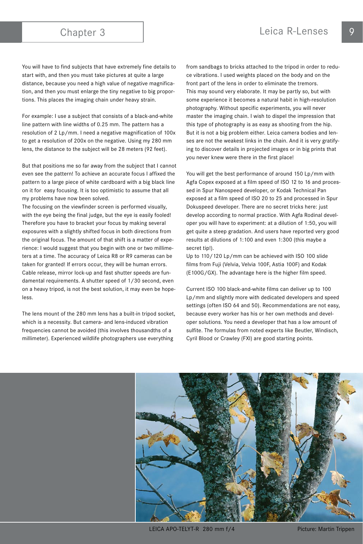You will have to find subjects that have extremely fine details to start with, and then you must take pictures at quite a large distance, because you need a high value of negative magnification, and then you must enlarge the tiny negative to big proportions. This places the imaging chain under heavy strain.

For example: I use a subject that consists of a black-and-white line pattern with line widths of 0.25 mm. The pattern has a resolution of 2 Lp/mm. I need a negative magnification of 100x to get a resolution of 200x on the negative. Using my 280 mm lens, the distance to the subject will be 28 meters (92 feet).

But that positions me so far away from the subject that I cannot even see the pattern! To achieve an accurate focus I affixed the pattern to a large piece of white cardboard with a big black line on it for easy focusing. It is too optimistic to assume that all my problems have now been solved.

The focusing on the viewfinder screen is performed visually, with the eye being the final judge, but the eye is easily fooled! Therefore you have to bracket your focus by making several exposures with a slightly shifted focus in both directions from the original focus. The amount of that shift is a matter of experience: I would suggest that you begin with one or two millimeters at a time. The accuracy of Leica R8 or R9 cameras can be taken for granted! If errors occur, they will be human errors. Cable release, mirror lock-up and fast shutter speeds are fundamental requirements. A shutter speed of 1/30 second, even on a heavy tripod, is not the best solution, it may even be hopeless.

The lens mount of the 280 mm lens has a built-in tripod socket, which is a necessity. But camera- and lens-induced vibration frequencies cannot be avoided (this involves thousandths of a millimeter). Experienced wildlife photographers use everything

from sandbags to bricks attached to the tripod in order to reduce vibrations. I used weights placed on the body and on the front part of the lens in order to eliminate the tremors. This may sound very elaborate. It may be partly so, but with some experience it becomes a natural habit in high-resolution photography. Without specific experiments, you will never master the imaging chain. I wish to dispel the impression that this type of photography is as easy as shooting from the hip. But it is not a big problem either. Leica camera bodies and lenses are not the weakest links in the chain. And it is very gratifying to discover details in projected images or in big prints that you never knew were there in the first place!

You will get the best performance of around 150 Lp/mm with Agfa Copex exposed at a film speed of ISO 12 to 16 and processed in Spur Nanospeed developer, or Kodak Technical Pan exposed at a film speed of ISO 20 to 25 and processed in Spur Dokuspeed developer. There are no secret tricks here: just develop according to normal practice. With Agfa Rodinal developer you will have to experiment: at a dilution of 1:50, you will get quite a steep gradation. And users have reported very good results at dilutions of 1:100 and even 1:300 (this maybe a secret tip!).

Up to 110/120 Lp/mm can be achieved with ISO 100 slide films from Fuji (Velvia, Velvia 100F, Astia 100F) and Kodak (E100G/GX). The advantage here is the higher film speed.

Current ISO 100 black-and-white films can deliver up to 100 Lp/mm and slightly more with dedicated developers and speed settings (often ISO 64 and 50). Recommendations are not easy, because every worker has his or her own methods and developer solutions. You need a developer that has a low amount of sulfite. The formulas from noted experts like Beutler, Windisch, Cyril Blood or Crawley (FXl) are good starting points.